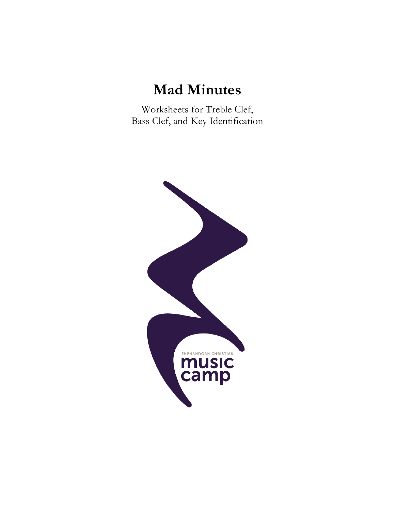# **Mad Minutes**

Worksheets for Treble Clef, Bass Clef, and Key Identification

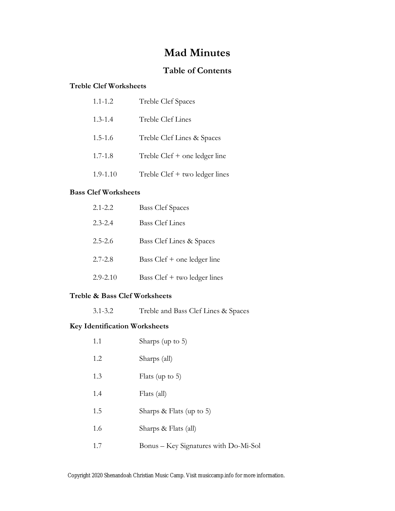#### **Mad Minutes**

#### **Table of Contents**

#### **Treble Clef Worksheets**

| $1.1 - 1.2$  | Treble Clef Spaces                |
|--------------|-----------------------------------|
| $1.3 - 1.4$  | Treble Clef Lines                 |
| $1.5 - 1.6$  | Treble Clef Lines & Spaces        |
| $1.7 - 1.8$  | Treble $Cleft$ + one ledger line  |
| $1.9 - 1.10$ | Treble $Cleft + two$ ledger lines |

#### **Bass Clef Worksheets**

| $2.1 - 2.2$  | <b>Bass Clef Spaces</b>      |
|--------------|------------------------------|
| $2.3 - 2.4$  | <b>Bass Clef Lines</b>       |
| $2.5 - 2.6$  | Bass Clef Lines & Spaces     |
| $2.7 - 2.8$  | Bass Clef + one ledger line  |
| $2.9 - 2.10$ | Bass Clef + two ledger lines |

#### **Treble & Bass Clef Worksheets**

3.1-3.2 Treble and Bass Clef Lines & Spaces

#### **Key Identification Worksheets**

| 1.1 | Sharps (up to $5$ )                   |
|-----|---------------------------------------|
| 1.2 | Sharps (all)                          |
| 1.3 | Flats (up to $5$ )                    |
| 1.4 | Flats (all)                           |
| 1.5 | Sharps & Flats (up to 5)              |
| 1.6 | Sharps & Flats (all)                  |
| 1.7 | Bonus - Key Signatures with Do-Mi-Sol |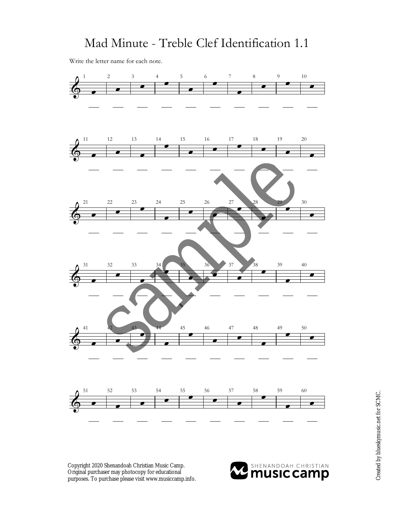Write the letter name for each note.



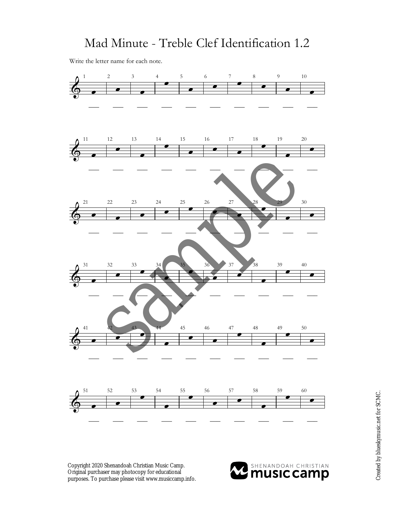Write the letter name for each note.



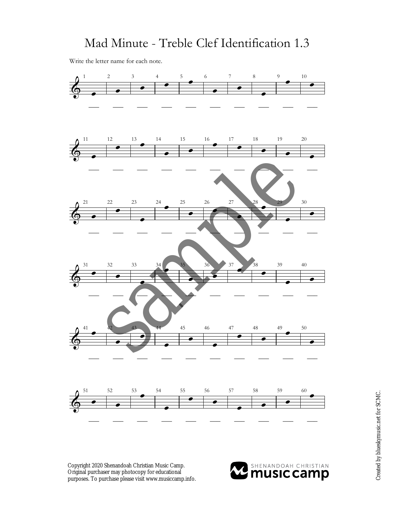Write the letter name for each note.



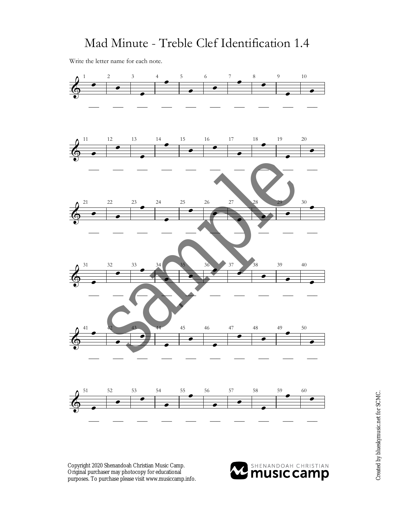Write the letter name for each note.



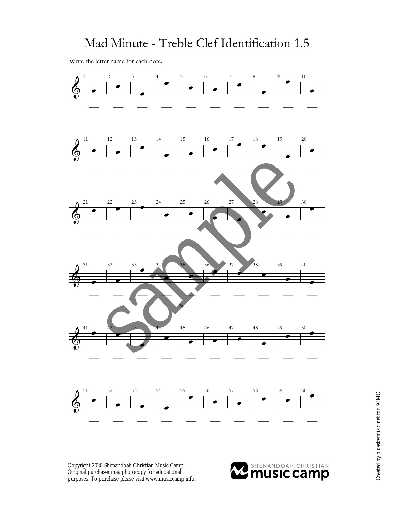Write the letter name for each note.



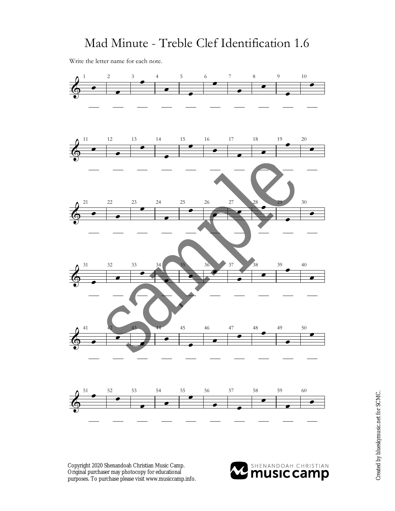Write the letter name for each note.



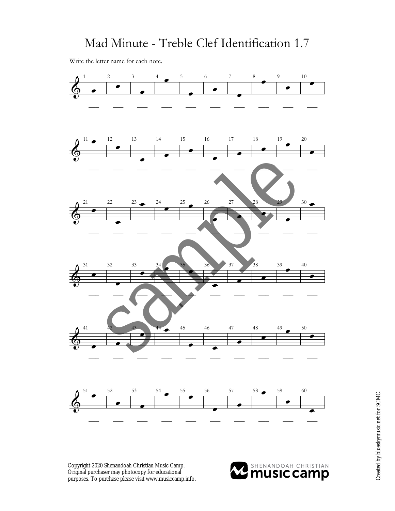Write the letter name for each note.



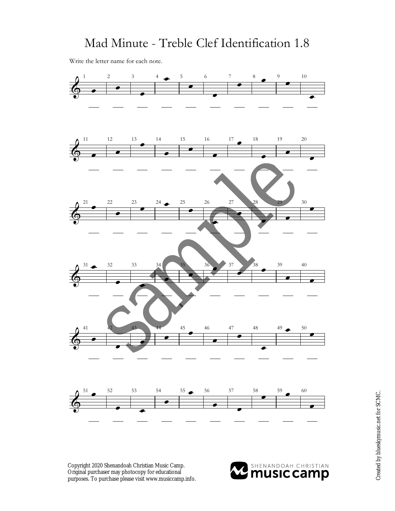Write the letter name for each note.



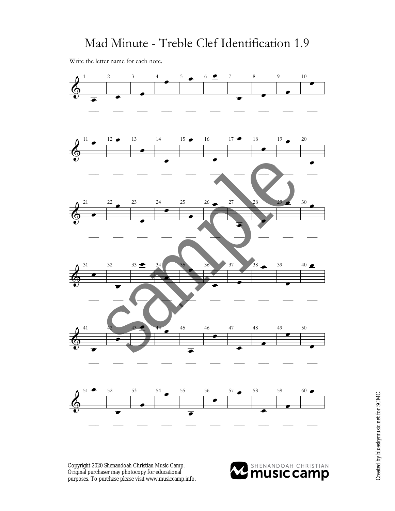Write the letter name for each note.



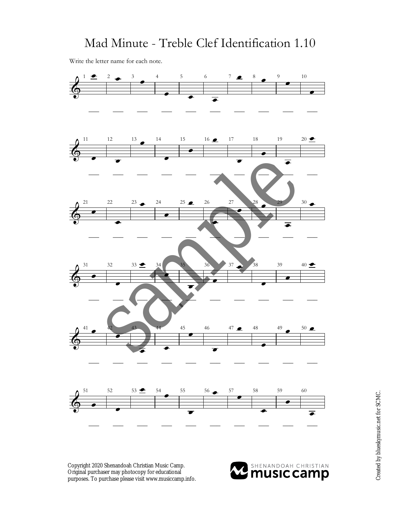Write the letter name for each note.



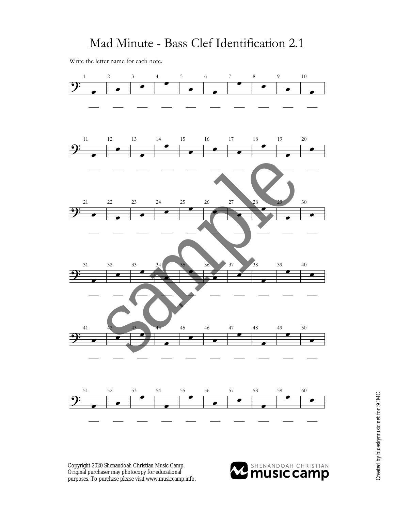Write the letter name for each note.



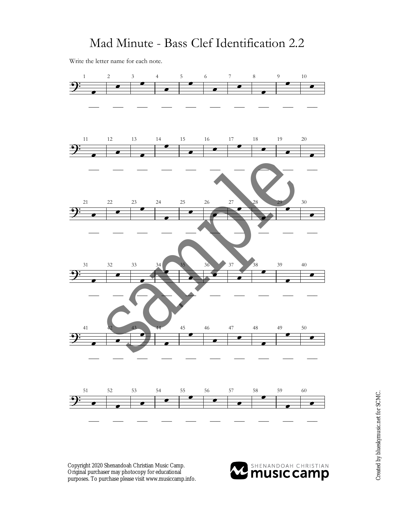Write the letter name for each note.



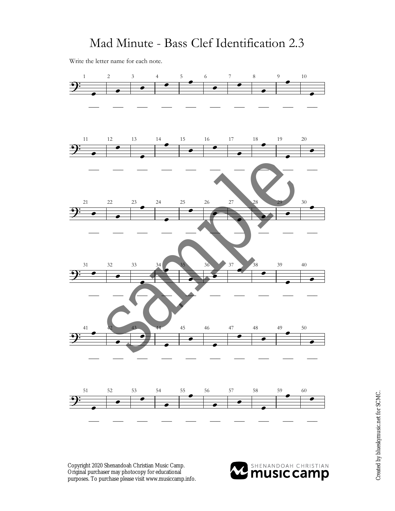Write the letter name for each note.



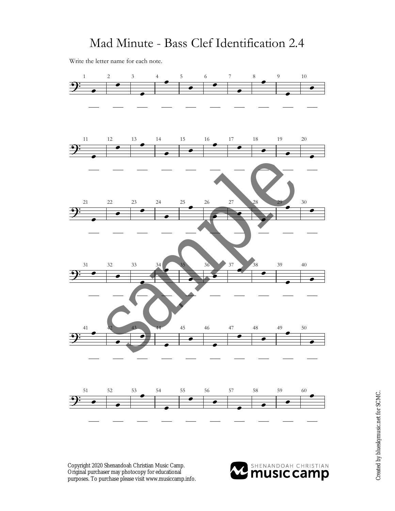Write the letter name for each note.



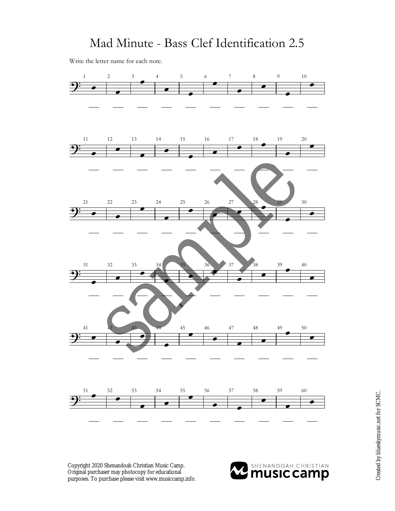Write the letter name for each note.



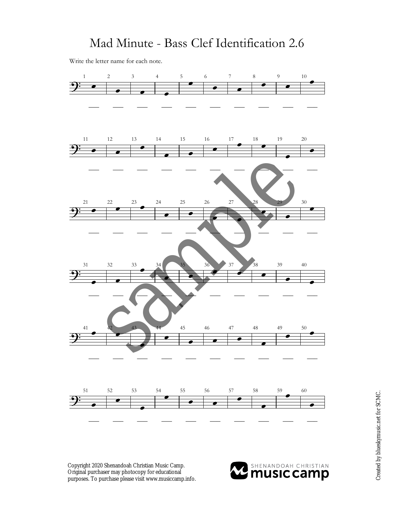Write the letter name for each note.



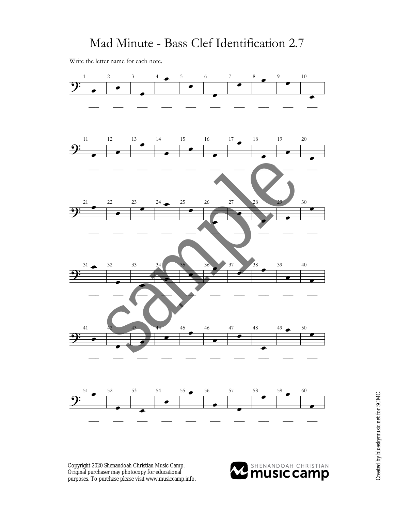Write the letter name for each note.



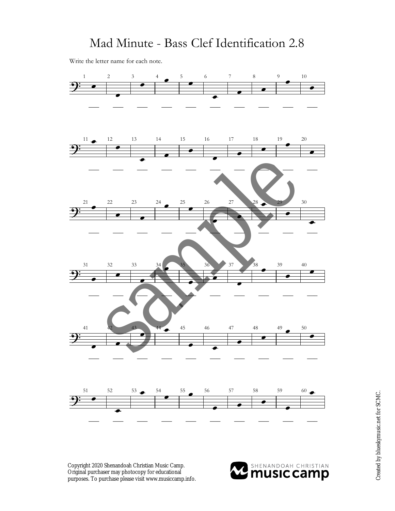Write the letter name for each note.



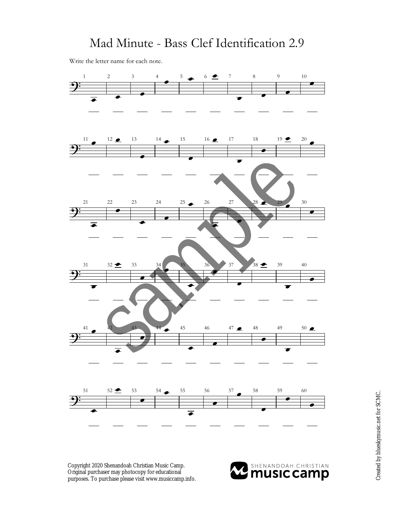Write the letter name for each note.



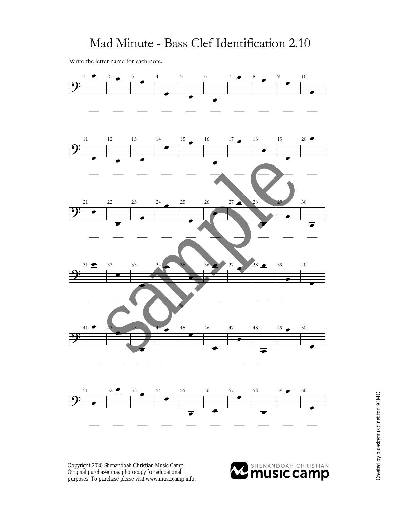Write the letter name for each note.



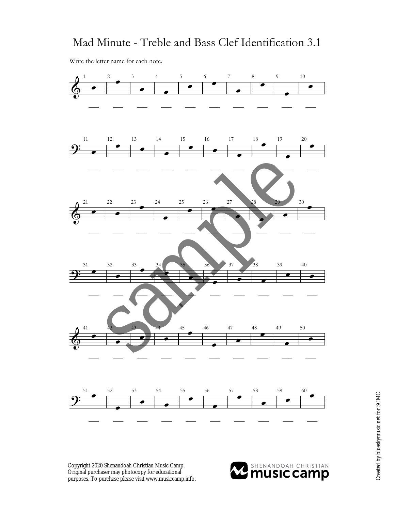#### Mad Minute - Treble and Bass Clef Identification 3.1

Write the letter name for each note.



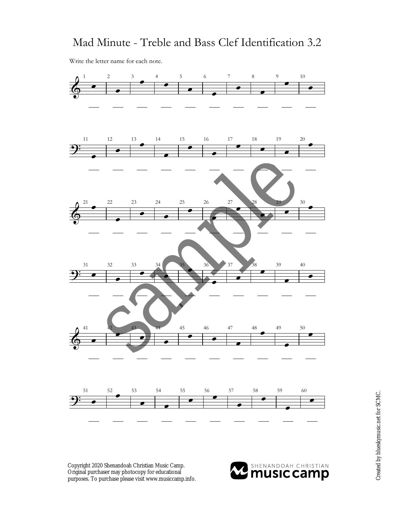#### Mad Minute - Treble and Bass Clef Identification 3.2

Write the letter name for each note.



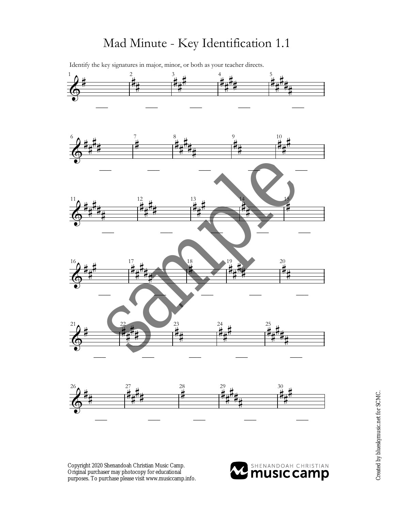Identify the key signatures in major, minor, or both as your teacher directs.



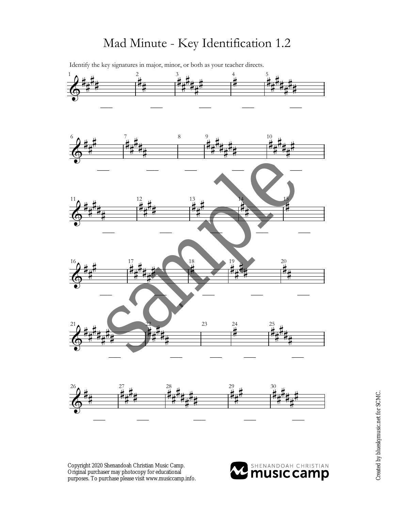Identify the key signatures in major, minor, or both as your teacher directs.  $1 \bullet$  4 5 6 **A**  $\frac{1}{2}$  10  $11$  a  $\mu$  12  $\mu$  13  $\mu$  14 14 15  $16$  17 17 18 18 19 19 19 20  $21$  23  $24$  25  $26$  27  $_{\text{H}}$  28  $_{\text{H}}$  29  $_{\text{H}}$  30  $\Phi$  $\sharp$  $\frac{1}{4}$  $\sharp$ **‡** —– .<br>‡  $\frac{1}{4}$ —– —– ,<br>丰  $\frac{1}{4}$ H<br>H ‡<br>‡  $\frac{1}{4}$ ╶╴<br>┿╃<br>┿╃╶╌╌╌╌╌╌╌╌╄╇ —– —– 。<br>其  $\frac{1}{4}$ H<br>H ‡<br>‡  $\frac{1}{4}$ **∦**  $\frac{1}{4}$  $\Phi$  $\sharp$  $\frac{1}{4}$ |<br>|} —– '<br>非  $\frac{1}{4}$ H<br>H ŧ.  $\frac{1}{4}$ —– —– —– )<br>杜  $\frac{1}{4}$  $\sharp$ ŧ  $\frac{1}{4}$  $\sharp$  $\frac{1}{2}$ —–  $\frac{0}{4}$  $\sharp$  $\sharp$ ŧ  $\frac{1}{4}$ #  $\Phi$  $\sharp$  $\frac{1}{4}$  $\sharp$ **‡**  $\frac{1}{4}$ —– 2<br>其  $\frac{1}{4}$  $\sharp$  $\sharp$ —– 3<br>其  $\frac{1}{4}$  $\sharp$ —– 4<br>计  $\frac{1}{4}$ —–  $\frac{5}{4}$ —–  $\Phi$  $\sharp$  $\frac{1}{4}$ **#** —– "<br>其  $\frac{1}{4}$ |<br>|} ŧ  $\frac{1}{4}$ **#** —– 18 —– ッ<br>株  $\frac{1}{4}$  $\frac{1}{2}$  $\frac{1}{2}$ —– 20  $\frac{1}{4}$ —–  $\Phi$  $\sharp$  $\frac{1}{4}$  $\sharp$ ŧ  $\frac{1}{4}$  $\frac{1}{4}$  $\frac{1}{\frac{1}{2}}$ —–  $\frac{2}{1}$  $\frac{1}{4}$  $\frac{1}{4}$  $\frac{1}{4}$  $\frac{1}{4}$ —– —– 24 —– 25<br>其 |<br>|} H<br>H ŧ  $\frac{1}{4}$ —–  $\Phi$  $\sharp$  $\frac{1}{4}$ "/<br>非  $\frac{1}{4}$ H<br>H  $\sharp$ "<br><br><br>  $\frac{1}{4}$ H<br>H ŧ  $\frac{1}{4}$ **∦**  $\frac{1}{4}$ ")<br>其  $\frac{1}{4}$  $\sharp$ i∪<br>‡  $\sharp$ # ⋕  $\frac{1}{4}$ |<br>|} sample

Copyright 2020 Shenandoah Christian Music Camp. Original purchaser may photocopy for educational purposes. To purchase please visit www.musiccamp.info.

—– —–

—–



—– —–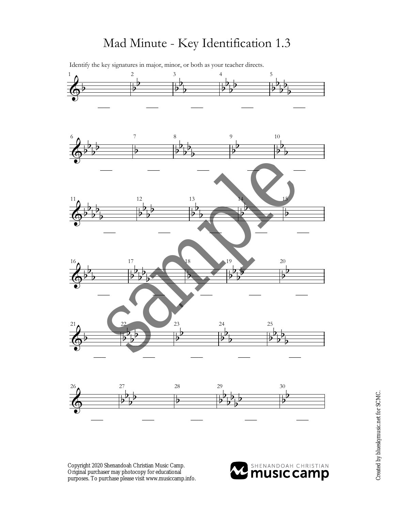Identify the key signatures in major, minor, or both as your teacher directs.  $1$  a  $2$  3 4 5  $6 \bullet$  7 8 9 10  $11$  12  $13$  13 14 15  $16$  17  $18$  19  $19$  20  $21$   $22$   $23$   $24$   $25$  $26 \text{ A}$  27 28 29 30  $\overline{\Phi^{\flat}}$ —–  $\frac{1}{2}$  $\flat$ —–  $\frac{1}{2}$  $\frac{1}{2}$  $\overline{b}$ —–  $\frac{1}{2}$  $\frac{1}{2}$  $\frac{1}{2}$  $\frac{1}{2}$ —–  $\frac{1}{2}$  $\frac{1}{2}$  $\frac{1}{2}$  $\frac{1}{2}$  $\frac{1}{2}$ —–  $\overline{\Phi^{\flat}}$  $\flat$  $\overline{b}$  $\frac{1}{2}$ —– ₽ —–  $\frac{1}{2}$  $\frac{1}{2}$  $\overline{\mathbf{b}}$  $\frac{1}{2}$  $\frac{1}{2}$ —–  $\frac{1}{2}$  $\flat$ —– þ  $\flat$  $\overline{b}$ —–  $\overline{\Phi^{\flat}}$  $\frac{1}{2}$  $\overline{b}$  $\frac{1}{2}$  $\frac{1}{2}$ —–  $\frac{1}{2}$  $\flat$  $\overline{\mathbf{b}}$  $\frac{1}{2}$ —–  $\frac{1}{2}$  $\flat$  $\overline{b}$ —–  $\frac{1}{2}$  $\mathbf{z}$ —–  $\frac{1}{2}$ —–  $\overline{\Phi^{\flat}}$  $\frac{1}{2}$  $\overline{\mathbf{b}}$ —–  $\frac{1}{2}$  $\frac{1}{2}$  $\frac{1}{2}$  $\frac{1}{2}$  $\frac{1}{2}$ —–  $\overline{2}$ —–  $\frac{1}{2}$  $\mathbf{b}$  $\frac{1}{2}$  $\frac{1}{2}$ —–  $\frac{1}{2}$  $\frac{1}{2}$ —–  $\overline{\Phi^{\flat}}$ —–  $\frac{1}{2}$  $\overline{\mathbf{b}}$  $\overline{\mathbf{b}}$  $\frac{1}{2}$ —–  $\frac{1}{2}$  $\mathbf{b}$ —– h  $\frac{1}{2}$  $\overline{b}$ —–  $\frac{1}{2}$  $\flat$  $\frac{1}{2}$  $\frac{1}{2}$  $\frac{1}{2}$ —–  $\Phi$  $\frac{1}{2}$  $\frac{1}{2}$  $\frac{1}{2}$  $\frac{1}{2}$ 丏  $\frac{1}{2}$  $\frac{1}{2}$  $\frac{1}{2}$  $\frac{1}{2}$  $\frac{1}{2}$  $\overline{\mathbf{b}}$  $\frac{1}{2}$  $\mathsf{b}$ sample

—–

Copyright 2020 Shenandoah Christian Music Camp. Original purchaser may photocopy for educational purposes. To purchase please visit www.musiccamp.info.

—–

—–



—–

—–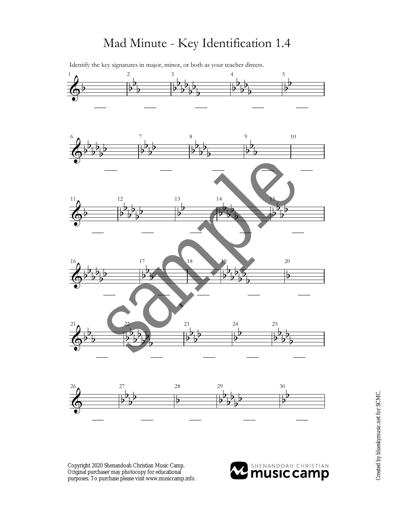

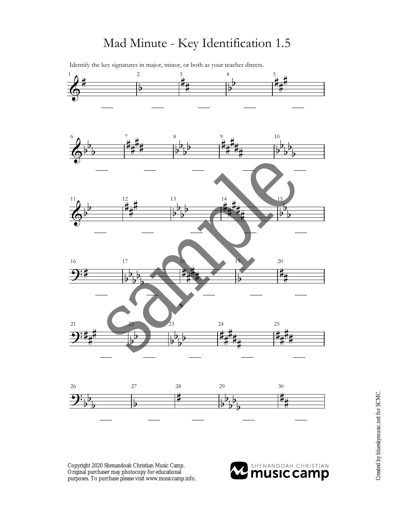Identify the key signatures in major, minor, or both as your teacher directs.  $1 \bullet$   $2 \bullet$   $3 \bullet$   $4 \bullet$  5 6 **4** 7 1 8 9 1 10  $11$  12 13 14 15 16 17 18 19 20 21  $22$   $23$   $24$   $25$  $\Phi$  $\sharp$ —–  $\frac{1}{2}$ —– ,<br>丰  $\frac{1}{4}$ —–  $\frac{1}{2}$  $\flat$ —– .<br>‡  $\frac{1}{4}$ # —–  $\overline{\Phi^{\flat}}$  $\flat$  $\overline{b}$ —– '<br>丰  $\frac{1}{4}$  $\sharp$ ŧ —–  $\frac{1}{2}$  $\mathbf{b}$  $\frac{1}{2}$  $\frac{1}{2}$ —– ,<br>丰  $\sharp$ **#** ŧ  $\frac{1}{4}$ —– —–  $\frac{1}{2}$  $\flat$  $\overline{b}$  $\frac{1}{2}$  $\frac{1}{2}$  $\overline{\Phi^{\flat}}$  $\frac{1}{2}$ —– 2<br>‡  $\frac{1}{4}$ **#** —–  $\frac{1}{2}$  $\flat$  $\overline{b}$  $\frac{1}{2}$ —– 4<br>杜  $\frac{1}{4}$ 」<br># .<br>‡  $\frac{1}{4}$ —–  $\frac{1}{2}$  $\mathbf{b}$  $\overline{b}$ —– 9:‡ —–  $\frac{1}{2}$  $\overline{\mathbf{b}}$  $\overline{b}$  $\frac{1}{2}$  $\overline{\mathbf{b}}$ —–  $\frac{1}{2}$  $\frac{1}{4}$ j.  $\overline{1}$ —–  $\frac{1}{2}$ —– ŧ  $\frac{1}{4}$ —–  $\mathbf{\mathfrak{P}}$ **∦** —–  $\frac{1}{2}$  $\overline{\mathbf{b}}$ —–  $\frac{1}{2}$  $\overline{\mathbf{b}}$  $\overline{\mathbf{b}}$  $\frac{1}{2}$ —– ⋕  $\frac{1}{4}$ **∦**  $\frac{1}{4}$  $\frac{1}{4}$ —– ⋕  $\frac{1}{4}$ |<br>|}  $\frac{1}{4}$ —– sample



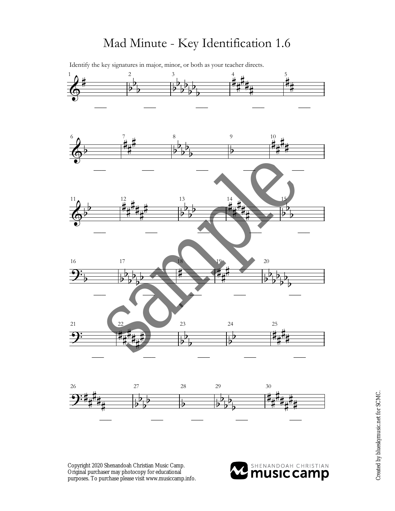Identify the key signatures in major, minor, or both as your teacher directs.  $\frac{1}{2}$   $\frac{2}{3}$   $\frac{4}{11}$  5  $6 \bullet 7$  1.  $11$  12 13 14 15 16 17 18 19 20 21 22 23 24 25  $\Phi$  $\sharp$ —–  $\frac{1}{2}$  $\frac{1}{2}$  $\frac{1}{2}$ —– —–  $\frac{1}{2}$  $\flat$  $\overline{\mathbf{b}}$  $\frac{1}{2}$  $\frac{1}{2}$  $\overline{\mathbf{b}}$  $\overline{\mathbf{b}}$ 4<br>其  $\frac{1}{4}$ H<br>H ŧ.  $\frac{1}{4}$ —– )<br>其  $\frac{1}{4}$ —–  $\overline{\Phi^{\flat}}$ —– /<br>其  $\sharp$ **#** —–  $\frac{1}{2}$  $\frac{1}{2}$  $\overline{b}$  $\frac{1}{2}$  $\overline{\mathbf{b}}$ —–  $\overline{\flat}$ —–  $10$  $\frac{1}{4}$  $\sharp$ ŧ —–  $\overline{\Phi^{\flat}}$  $\mathsf{b}$ —– —–  $\frac{2}{4}$  $\frac{1}{4}$ H<br>H  $\sharp$  $\frac{1}{4}$ |<br>|}  $\frac{1}{2}$  $\frac{1}{2}$  $\frac{1}{2}$  $\frac{1}{2}$ —–  $\frac{4}{4}$  $\frac{1}{2}$  $\frac{1}{4}$ Ì  $\frac{1}{4}$ —–  $\frac{1}{2}$  $\mathbf{b}$  $\overline{\mathbf{b}}$ —–  $\overline{\mathbf{G}_{\mathbf{b}}}$ —–  $\frac{1}{2}$  $\overline{\mathbf{b}}$  $\overline{b}$  $\frac{1}{2}$  $\overline{b}$  $\overline{b}$ —–  $\frac{1}{2}$ —–  $\sharp$  $\frac{1}{4}$  $\sharp$ —– —–  $\frac{1}{2}$  $\overline{\mathbf{b}}$  $\frac{1}{2}$  $\frac{1}{2}$  $\overline{\mathbf{b}}$  $\overline{\mathbf{b}}$  $\overline{5}$ -6 —–  $\frac{1}{2}$  $\frac{1}{4}$  $\frac{1}{4}$  $\frac{1}{4}$  $\frac{1}{4}$  $\frac{1}{4}$ —–  $\frac{1}{2}$  $\overline{\mathbf{b}}$  $\overline{b}$ —–  $\frac{1}{2}$  $\overline{\mathbf{b}}$ —– ŧ  $\frac{1}{4}$  $\sharp$  $\frac{1}{4}$ —– sample